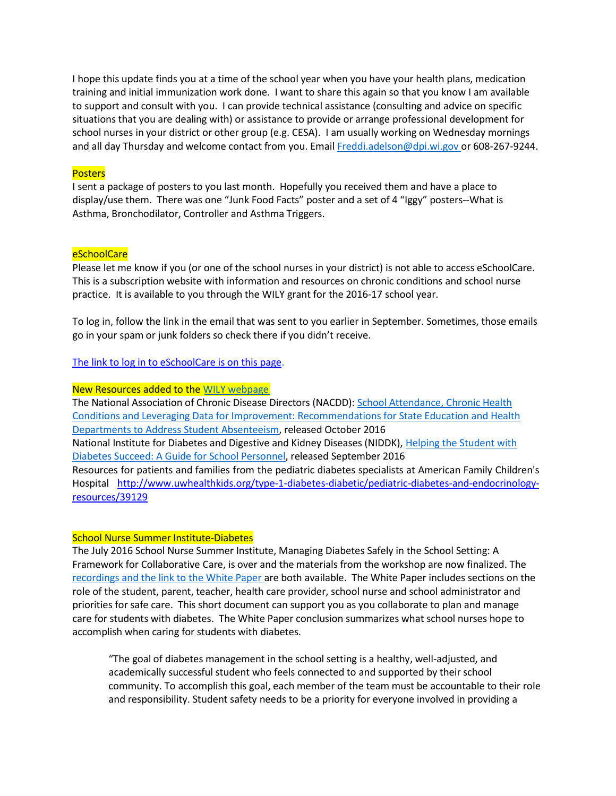I hope this update finds you at a time of the school year when you have your health plans, medication training and initial immunization work done. I want to share this again so that you know I am available to support and consult with you. I can provide technical assistance (consulting and advice on specific situations that you are dealing with) or assistance to provide or arrange professional development for school nurses in your district or other group (e.g. CESA). I am usually working on Wednesday mornings and all day Thursday and welcome contact from you. Email [Freddi.adelson@dpi.wi.gov](mailto:Freddi.adelson@dpi.wi.gov) or 608-267-9244.

## **Posters**

I sent a package of posters to you last month. Hopefully you received them and have a place to display/use them. There was one "Junk Food Facts" poster and a set of 4 "Iggy" posters--What is Asthma, Bronchodilator, Controller and Asthma Triggers.

### eSchoolCare

Please let me know if you (or one of the school nurses in your district) is not able to access eSchoolCare. This is a subscription website with information and resources on chronic conditions and school nurse practice. It is available to you through the WILY grant for the 2016-17 school year.

To log in, follow the link in the email that was sent to you earlier in September. Sometimes, those emails go in your spam or junk folders so check there if you didn't receive.

# The link to log in to [eSchoolCare](http://son.wisc.edu/eSchoolCare.htm) is on this page.

### New Resources added to the WILY [webpage](http://dpi.wi.gov/sspw/pupil-services/school-nurse/wellness-improves-learning-for-youth/chronic-illness-management)

The National Association of Chronic Disease Directors (NACDD): School [Attendance,](http://c.ymcdn.com/sites/www.chronicdisease.org/resource/resmgr/school_health/NACDD_School_Attendance_and_.pdf) Chronic Healt[h](http://c.ymcdn.com/sites/www.chronicdisease.org/resource/resmgr/school_health/NACDD_School_Attendance_and_.pdf) Conditions and [Leveraging Data for](http://c.ymcdn.com/sites/www.chronicdisease.org/resource/resmgr/school_health/NACDD_School_Attendance_and_.pdf) Improvement: Recommendations for State Education and Healt[h](http://c.ymcdn.com/sites/www.chronicdisease.org/resource/resmgr/school_health/NACDD_School_Attendance_and_.pdf) Departments to [Address Student Absenteeism,](http://c.ymcdn.com/sites/www.chronicdisease.org/resource/resmgr/school_health/NACDD_School_Attendance_and_.pdf) released October 2016 National Institute for Diabetes and Digestive and Kidney Diseases (NIDDK), Helping the Student with Diabetes Succeed: A Guide for School Personnel, released September 2016 Resources for patients and families from the pediatric diabetes specialists at American Family Children's Hospital [http://www.uwhealthkids.org/type-1-diabetes-diabetic/pediatric-diabetes-and-endocrinology](http://www.uwhealthkids.org/type-1-diabetes-diabetic/pediatric-diabetes-and-endocrinology-resources/39129)[resources/39129](http://www.uwhealthkids.org/type-1-diabetes-diabetic/pediatric-diabetes-and-endocrinology-resources/39129)

### School Nurse Summer Institute-Diabetes

The July 2016 School Nurse Summer Institute, Managing Diabetes Safely in the School Setting: A Framework for Collaborative Care, is over and the materials from the workshop are now finalized. The [recordings and](http://dpi.wi.gov/sspw/pupil-services/school-nurse/chronic-illness/diabetes#si2016) the link to the White Paper are both available. The White Paper includes sections on the role of the student, parent, teacher, health care provider, school nurse and school administrator and priorities for safe care. This short document can support you as you collaborate to plan and manage care for students with diabetes. The White Paper conclusion summarizes what school nurses hope to accomplish when caring for students with diabetes.

"The goal of diabetes management in the school setting is a healthy, well-adjusted, and academically successful student who feels connected to and supported by their school community. To accomplish this goal, each member of the team must be accountable to their role and responsibility. Student safety needs to be a priority for everyone involved in providing a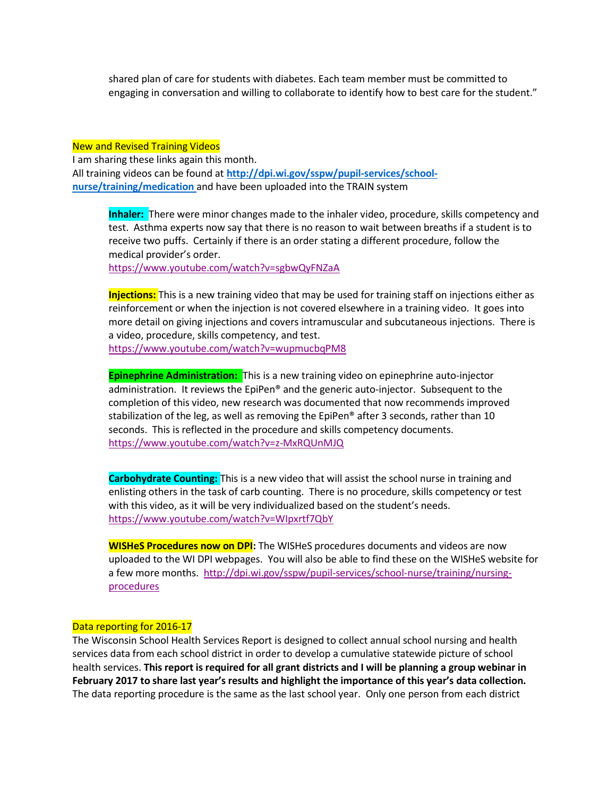shared plan of care for students with diabetes. Each team member must be committed to engaging in conversation and willing to collaborate to identify how to best care for the student."

#### New and Revised Training Videos

I am sharing these links again this month. All training videos can be found at **[http://dpi.wi.gov/sspw/pupil-services/school](http://dpi.wi.gov/sspw/pupil-services/school-nurse/training/medication)[nurse/training/medication](http://dpi.wi.gov/sspw/pupil-services/school-nurse/training/medication)** and have been uploaded into the TRAIN system

**Inhaler:** There were minor changes made to the inhaler video, procedure, skills competency and test. Asthma experts now say that there is no reason to wait between breaths if a student is to receive two puffs. Certainly if there is an order stating a different procedure, follow the medical provider's order.

<https://www.youtube.com/watch?v=sgbwQyFNZaA>

**Injections:** This is a new training video that may be used for training staff on injections either as reinforcement or when the injection is not covered elsewhere in a training video. It goes into more detail on giving injections and covers intramuscular and subcutaneous injections. There is a video, procedure, skills competency, and test. <https://www.youtube.com/watch?v=wupmucbqPM8>

**Epinephrine Administration:** This is a new training video on epinephrine auto-injector administration. It reviews the EpiPen® and the generic auto-injector. Subsequent to the completion of this video, new research was documented that now recommends improved stabilization of the leg, as well as removing the EpiPen® after 3 seconds, rather than 10 seconds. This is reflected in the procedure and skills competency documents. <https://www.youtube.com/watch?v=z-MxRQUnMJQ>

**Carbohydrate Counting:** This is a new video that will assist the school nurse in training and enlisting others in the task of carb counting. There is no procedure, skills competency or test with this video, as it will be very individualized based on the student's needs. <https://www.youtube.com/watch?v=WIpxrtf7QbY>

**WISHeS Procedures now on DPI:** The WISHeS procedures documents and videos are now uploaded to the WI DPI webpages. You will also be able to find these on the WISHeS website for a few more months. [http://dpi.wi.gov/sspw/pupil-services/school-nurse/training/nursing](http://dpi.wi.gov/sspw/pupil-services/school-nurse/training/nursing-procedures)[procedures](http://dpi.wi.gov/sspw/pupil-services/school-nurse/training/nursing-procedures)

#### Data reporting for 2016-17

The Wisconsin School Health Services Report is designed to collect annual school nursing and health services data from each school district in order to develop a cumulative statewide picture of school health services. **This report is required for all grant districts and I will be planning a group webinar in February 2017 to share last year's results and highlight the importance of this year's data collection.** The data reporting procedure is the same as the last school year. Only one person from each district